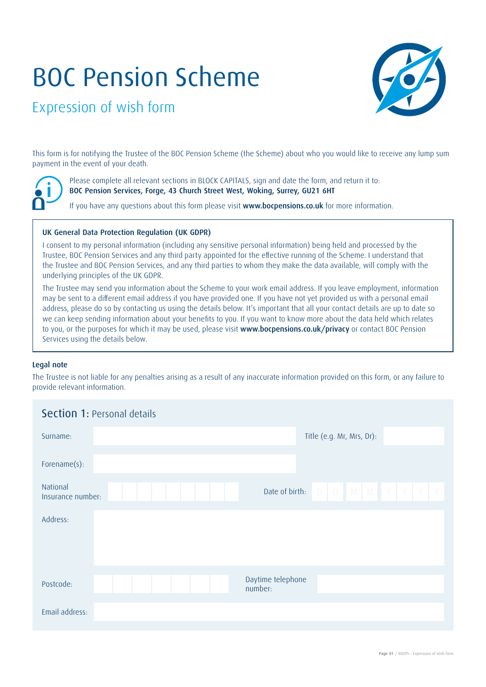## BOC Pension Scheme



Expression of wish form

This form is for notifying the Trustee of the BOC Pension Scheme (the Scheme) about who you would like to receive any lump sum payment in the event of your death.

Please complete all relevant sections in BLOCK CAPITALS, sign and date the form, and return it to: BOC Pension Services, Forge, 43 Church Street West, Woking, Surrey, GU21 6HT

If you have any questions about this form please visit www.bocpensions.co.uk for more information.

## UK General Data Protection Regulation (UK GDPR)

I consent to my personal information (including any sensitive personal information) being held and processed by the Trustee, BOC Pension Services and any third party appointed for the effective running of the Scheme. I understand that the Trustee and BOC Pension Services, and any third parties to whom they make the data available, will comply with the underlying principles of the UK GDPR.

The Trustee may send you information about the Scheme to your work email address. If you leave employment, information may be sent to a different email address if you have provided one. If you have not yet provided us with a personal email address, please do so by contacting us using the details below. It's important that all your contact details are up to date so we can keep sending information about your benefits to you. If you want to know more about the data held which relates to you, or the purposes for which it may be used, please visit www.bocpensions.co.uk/privacy or contact BOC Pension Services using the details below.

## Legal note

The Trustee is not liable for any penalties arising as a result of any inaccurate information provided on this form, or any failure to provide relevant information.

| <b>Section 1: Personal details</b> |                              |
|------------------------------------|------------------------------|
| Surname:                           | Title (e.g. Mr, Mrs, Dr):    |
| Forename(s):                       |                              |
| National<br>Insurance number:      |                              |
| Address:                           |                              |
| Postcode:                          | Daytime telephone<br>number: |
| Email address:                     |                              |